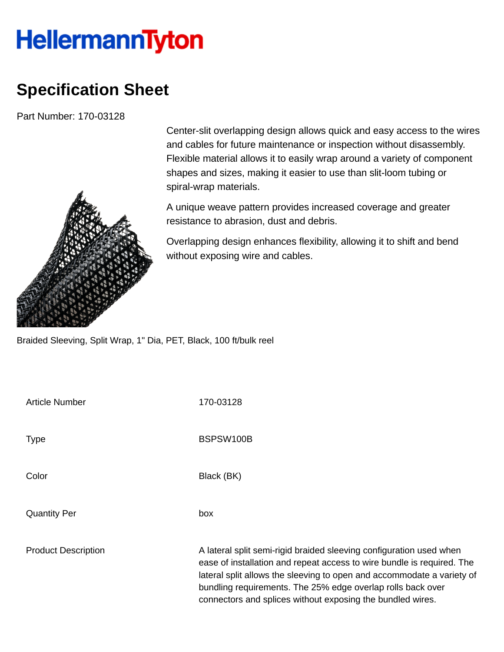## **HellermannTyton**

## **Specification Sheet**

Part Number: 170-03128



Center-slit overlapping design allows quick and easy access to the wires and cables for future maintenance or inspection without disassembly. Flexible material allows it to easily wrap around a variety of component shapes and sizes, making it easier to use than slit-loom tubing or spiral-wrap materials.

A unique weave pattern provides increased coverage and greater resistance to abrasion, dust and debris.

Overlapping design enhances flexibility, allowing it to shift and bend without exposing wire and cables.

Braided Sleeving, Split Wrap, 1" Dia, PET, Black, 100 ft/bulk reel

| Article Number             | 170-03128                                                                                                                                                                                                                                                                                                                                            |
|----------------------------|------------------------------------------------------------------------------------------------------------------------------------------------------------------------------------------------------------------------------------------------------------------------------------------------------------------------------------------------------|
| Type                       | BSPSW100B                                                                                                                                                                                                                                                                                                                                            |
| Color                      | Black (BK)                                                                                                                                                                                                                                                                                                                                           |
| <b>Quantity Per</b>        | box                                                                                                                                                                                                                                                                                                                                                  |
| <b>Product Description</b> | A lateral split semi-rigid braided sleeving configuration used when<br>ease of installation and repeat access to wire bundle is required. The<br>lateral split allows the sleeving to open and accommodate a variety of<br>bundling requirements. The 25% edge overlap rolls back over<br>connectors and splices without exposing the bundled wires. |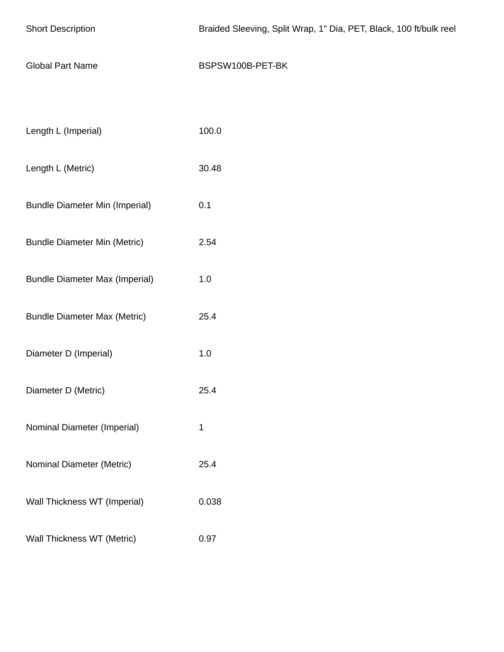| <b>Short Description</b>              | Braided Sleeving, Split Wrap, 1" Dia, PET, Black, 100 ft/bulk reel |
|---------------------------------------|--------------------------------------------------------------------|
| <b>Global Part Name</b>               | BSPSW100B-PET-BK                                                   |
|                                       |                                                                    |
| Length L (Imperial)                   | 100.0                                                              |
| Length L (Metric)                     | 30.48                                                              |
| <b>Bundle Diameter Min (Imperial)</b> | 0.1                                                                |
| <b>Bundle Diameter Min (Metric)</b>   | 2.54                                                               |
| <b>Bundle Diameter Max (Imperial)</b> | 1.0                                                                |
| <b>Bundle Diameter Max (Metric)</b>   | 25.4                                                               |
| Diameter D (Imperial)                 | 1.0                                                                |
| Diameter D (Metric)                   | 25.4                                                               |
| Nominal Diameter (Imperial)           | 1                                                                  |
| Nominal Diameter (Metric)             | 25.4                                                               |
| Wall Thickness WT (Imperial)          | 0.038                                                              |
| Wall Thickness WT (Metric)            | 0.97                                                               |